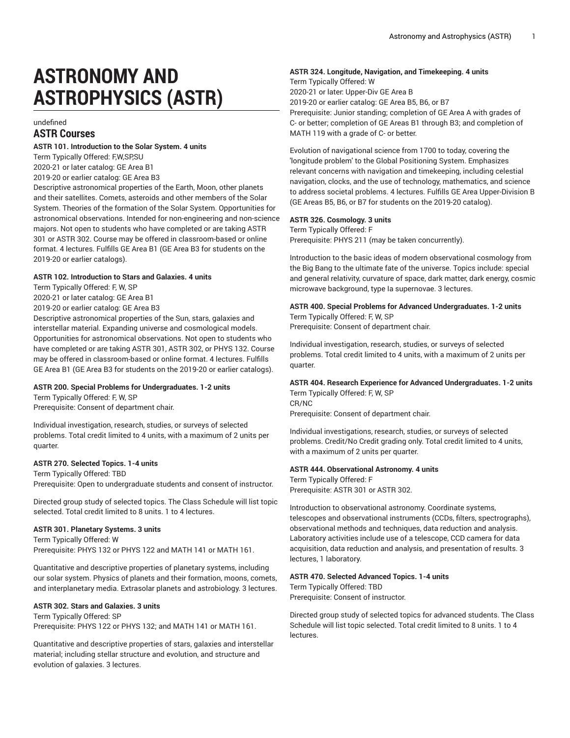# **ASTRONOMY AND ASTROPHYSICS (ASTR)**

# undefined **ASTR Courses**

# **ASTR 101. Introduction to the Solar System. 4 units**

Term Typically Offered: F,W,SP,SU

2020-21 or later catalog: GE Area B1

2019-20 or earlier catalog: GE Area B3

Descriptive astronomical properties of the Earth, Moon, other planets and their satellites. Comets, asteroids and other members of the Solar System. Theories of the formation of the Solar System. Opportunities for astronomical observations. Intended for non-engineering and non-science majors. Not open to students who have completed or are taking ASTR 301 or ASTR 302. Course may be offered in classroom-based or online format. 4 lectures. Fulfills GE Area B1 (GE Area B3 for students on the 2019-20 or earlier catalogs).

#### **ASTR 102. Introduction to Stars and Galaxies. 4 units**

Term Typically Offered: F, W, SP

2020-21 or later catalog: GE Area B1

2019-20 or earlier catalog: GE Area B3

Descriptive astronomical properties of the Sun, stars, galaxies and interstellar material. Expanding universe and cosmological models. Opportunities for astronomical observations. Not open to students who have completed or are taking ASTR 301, ASTR 302, or PHYS 132. Course may be offered in classroom-based or online format. 4 lectures. Fulfills GE Area B1 (GE Area B3 for students on the 2019-20 or earlier catalogs).

# **ASTR 200. Special Problems for Undergraduates. 1-2 units**

Term Typically Offered: F, W, SP

Prerequisite: Consent of department chair.

Individual investigation, research, studies, or surveys of selected problems. Total credit limited to 4 units, with a maximum of 2 units per quarter.

# **ASTR 270. Selected Topics. 1-4 units**

Term Typically Offered: TBD Prerequisite: Open to undergraduate students and consent of instructor.

Directed group study of selected topics. The Class Schedule will list topic selected. Total credit limited to 8 units. 1 to 4 lectures.

# **ASTR 301. Planetary Systems. 3 units**

Term Typically Offered: W Prerequisite: PHYS 132 or PHYS 122 and MATH 141 or MATH 161.

Quantitative and descriptive properties of planetary systems, including our solar system. Physics of planets and their formation, moons, comets, and interplanetary media. Extrasolar planets and astrobiology. 3 lectures.

# **ASTR 302. Stars and Galaxies. 3 units**

Term Typically Offered: SP Prerequisite: PHYS 122 or PHYS 132; and MATH 141 or MATH 161.

Quantitative and descriptive properties of stars, galaxies and interstellar material; including stellar structure and evolution, and structure and evolution of galaxies. 3 lectures.

#### **ASTR 324. Longitude, Navigation, and Timekeeping. 4 units**

Term Typically Offered: W 2020-21 or later: Upper-Div GE Area B 2019-20 or earlier catalog: GE Area B5, B6, or B7 Prerequisite: Junior standing; completion of GE Area A with grades of C- or better; completion of GE Areas B1 through B3; and completion of MATH 119 with a grade of C- or better.

Evolution of navigational science from 1700 to today, covering the 'longitude problem' to the Global Positioning System. Emphasizes relevant concerns with navigation and timekeeping, including celestial navigation, clocks, and the use of technology, mathematics, and science to address societal problems. 4 lectures. Fulfills GE Area Upper-Division B (GE Areas B5, B6, or B7 for students on the 2019-20 catalog).

# **ASTR 326. Cosmology. 3 units**

Term Typically Offered: F Prerequisite: PHYS 211 (may be taken concurrently).

Introduction to the basic ideas of modern observational cosmology from the Big Bang to the ultimate fate of the universe. Topics include: special and general relativity, curvature of space, dark matter, dark energy, cosmic microwave background, type Ia supernovae. 3 lectures.

# **ASTR 400. Special Problems for Advanced Undergraduates. 1-2 units**

Term Typically Offered: F, W, SP Prerequisite: Consent of department chair.

Individual investigation, research, studies, or surveys of selected problems. Total credit limited to 4 units, with a maximum of 2 units per quarter.

# **ASTR 404. Research Experience for Advanced Undergraduates. 1-2 units**

Term Typically Offered: F, W, SP CR/NC Prerequisite: Consent of department chair.

Individual investigations, research, studies, or surveys of selected problems. Credit/No Credit grading only. Total credit limited to 4 units, with a maximum of 2 units per quarter.

# **ASTR 444. Observational Astronomy. 4 units**

Term Typically Offered: F Prerequisite: ASTR 301 or ASTR 302.

Introduction to observational astronomy. Coordinate systems, telescopes and observational instruments (CCDs, filters, spectrographs), observational methods and techniques, data reduction and analysis. Laboratory activities include use of a telescope, CCD camera for data acquisition, data reduction and analysis, and presentation of results. 3 lectures, 1 laboratory.

#### **ASTR 470. Selected Advanced Topics. 1-4 units**

Term Typically Offered: TBD Prerequisite: Consent of instructor.

Directed group study of selected topics for advanced students. The Class Schedule will list topic selected. Total credit limited to 8 units. 1 to 4 lectures.